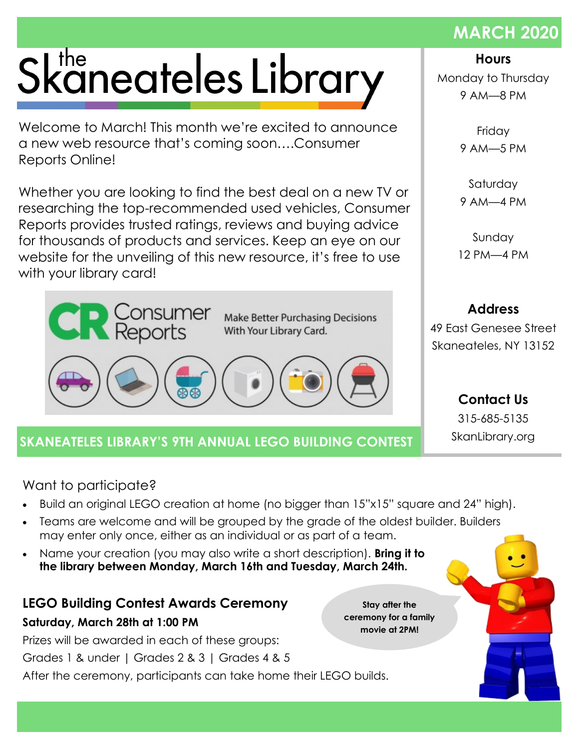# Skaneateles Library

Welcome to March! This month we're excited to announce a new web resource that's coming soon….Consumer Reports Online!

Whether you are looking to find the best deal on a new TV or researching the top-recommended used vehicles, Consumer Reports provides trusted ratings, reviews and buying advice for thousands of products and services. Keep an eye on our website for the unveiling of this new resource, it's free to use with your library card!



## **SKANEATELES LIBRARY'S 9TH ANNUAL LEGO BUILDING CONTEST SkanLibrary.org**

Want to participate?

- Build an original LEGO creation at home (no bigger than 15"x15" square and 24" high).
- Teams are welcome and will be grouped by the grade of the oldest builder. Builders may enter only once, either as an individual or as part of a team.
- Name your creation (you may also write a short description). **Bring it to the library between Monday, March 16th and Tuesday, March 24th.**

# **LEGO Building Contest Awards Ceremony**

#### **Saturday, March 28th at 1:00 PM**

Prizes will be awarded in each of these groups: Grades 1 & under | Grades 2 & 3 | Grades 4 & 5 After the ceremony, participants can take home their LEGO builds.

**Stay after the ceremony for a family movie at 2PM!**

**Hours**

Monday to Thursday 9 AM—8 PM

> Friday 9 AM—5 PM

> Saturday 9 AM—4 PM

Sunday 12 PM—4 PM

49 East Genesee Street Skaneateles, NY 13152

**Address**

**Contact Us** 315-685-5135

### **MARCH 2020**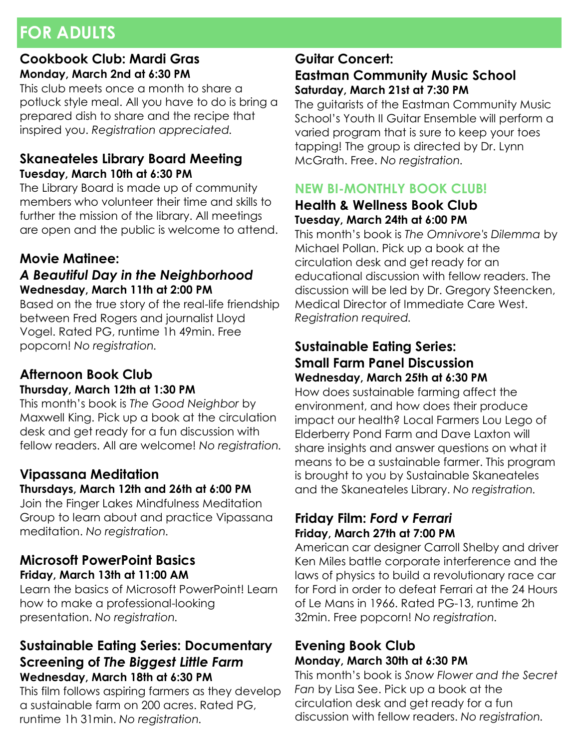# **FOR ADULTS**

#### **Cookbook Club: Mardi Gras Monday, March 2nd at 6:30 PM**

This club meets once a month to share a potluck style meal. All you have to do is bring a prepared dish to share and the recipe that inspired you. *Registration appreciated.*

#### **Skaneateles Library Board Meeting Tuesday, March 10th at 6:30 PM**

The Library Board is made up of community members who volunteer their time and skills to further the mission of the library. All meetings are open and the public is welcome to attend.

#### **Movie Matinee:**

#### *A Beautiful Day in the Neighborhood* **Wednesday, March 11th at 2:00 PM**

Based on the true story of the real-life friendship between Fred Rogers and journalist Lloyd Vogel. Rated PG, runtime 1h 49min. Free popcorn! *No registration.* 

#### **Afternoon Book Club Thursday, March 12th at 1:30 PM**

This month's book is *The Good Neighbor* by Maxwell King. Pick up a book at the circulation desk and get ready for a fun discussion with fellow readers. All are welcome! *No registration.*

#### **Vipassana Meditation Thursdays, March 12th and 26th at 6:00 PM**

Join the Finger Lakes Mindfulness Meditation Group to learn about and practice Vipassana meditation. *No registration.*

#### **Microsoft PowerPoint Basics Friday, March 13th at 11:00 AM**

Learn the basics of Microsoft PowerPoint! Learn how to make a professional-looking presentation. *No registration.*

#### **Sustainable Eating Series: Documentary Screening of** *The Biggest Little Farm* **Wednesday, March 18th at 6:30 PM**

This film follows aspiring farmers as they develop a sustainable farm on 200 acres. Rated PG, runtime 1h 31min. *No registration.* 

#### **Guitar Concert: Eastman Community Music School Saturday, March 21st at 7:30 PM**

The guitarists of the Eastman Community Music School's Youth II Guitar Ensemble will perform a varied program that is sure to keep your toes tapping! The group is directed by Dr. Lynn McGrath. Free. *No registration.*

#### **NEW BI-MONTHLY BOOK CLUB!**

#### **Health & Wellness Book Club Tuesday, March 24th at 6:00 PM**

This month's book is *The Omnivore's Dilemma* by Michael Pollan. Pick up a book at the circulation desk and get ready for an educational discussion with fellow readers. The discussion will be led by Dr. Gregory Steencken, Medical Director of Immediate Care West. *Registration required.*

#### **Sustainable Eating Series: Small Farm Panel Discussion Wednesday, March 25th at 6:30 PM**

How does sustainable farming affect the environment, and how does their produce impact our health? Local Farmers Lou Lego of Elderberry Pond Farm and Dave Laxton will share insights and answer questions on what it means to be a sustainable farmer. This program is brought to you by Sustainable Skaneateles and the Skaneateles Library. *No registration.* 

#### **Friday Film:** *Ford v Ferrari* **Friday, March 27th at 7:00 PM**

American car designer Carroll Shelby and driver Ken Miles battle corporate interference and the laws of physics to build a revolutionary race car for Ford in order to defeat Ferrari at the 24 Hours of Le Mans in 1966. Rated PG-13, runtime 2h 32min. Free popcorn! *No registration.*

#### **Evening Book Club Monday, March 30th at 6:30 PM**

This month's book is *Snow Flower and the Secret Fan* by Lisa See. Pick up a book at the circulation desk and get ready for a fun discussion with fellow readers. *No registration.*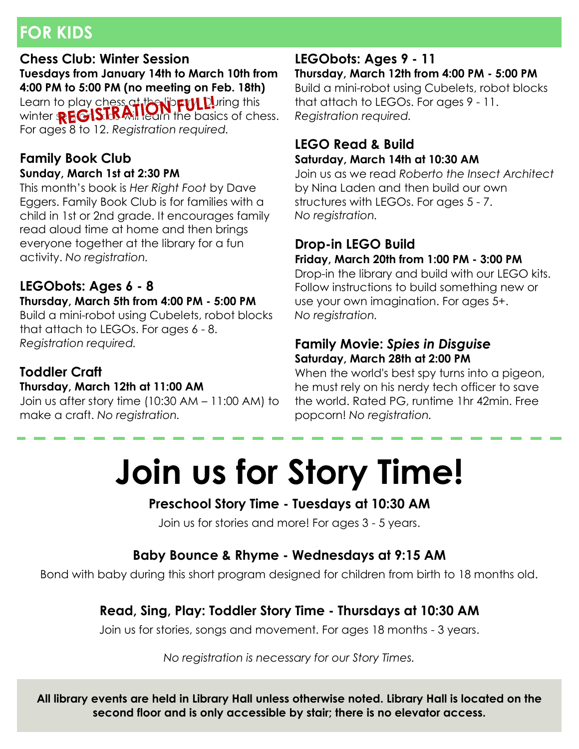# **FOR KIDS**

#### **Chess Club: Winter Session**

**Tuesdays from January 14th to March 10th from 4:00 PM to 5:00 PM (no meeting on Feb. 18th)** Learn to play chess at the lib**rary Du**ring this winter  $\mathbb{R}$   $\mathbb{G}$  is the mill learn the basics of chess. For ages 8 to 12. *Registration required.*

#### **Family Book Club Sunday, March 1st at 2:30 PM**

This month's book is *Her Right Foot* by Dave Eggers. Family Book Club is for families with a child in 1st or 2nd grade. It encourages family read aloud time at home and then brings everyone together at the library for a fun activity. *No registration.*

#### **LEGObots: Ages 6 - 8**

#### **Thursday, March 5th from 4:00 PM - 5:00 PM**

Build a mini-robot using Cubelets, robot blocks that attach to LEGOs. For ages 6 - 8. *Registration required.*

#### **Toddler Craft**

#### **Thursday, March 12th at 11:00 AM**

Join us after story time (10:30 AM – 11:00 AM) to make a craft. *No registration.*

#### **LEGObots: Ages 9 - 11**

**Thursday, March 12th from 4:00 PM - 5:00 PM** Build a mini-robot using Cubelets, robot blocks that attach to LEGOs. For ages 9 - 11. *Registration required.*

#### **LEGO Read & Build Saturday, March 14th at 10:30 AM**

Join us as we read *Roberto the Insect Architect* by Nina Laden and then build our own structures with LEGOs. For ages 5 - 7. *No registration.*

## **Drop-in LEGO Build**

**Friday, March 20th from 1:00 PM - 3:00 PM**

Drop-in the library and build with our LEGO kits. Follow instructions to build something new or use your own imagination. For ages 5+. *No registration.*

#### **Family Movie:** *Spies in Disguise* **Saturday, March 28th at 2:00 PM**

When the world's best spy turns into a pigeon, he must rely on his nerdy tech officer to save the world. Rated PG, runtime 1hr 42min. Free popcorn! *No registration.*

# **Join us for Story Time!**

#### **Preschool Story Time - Tuesdays at 10:30 AM**

Join us for stories and more! For ages 3 - 5 years.

#### **Baby Bounce & Rhyme - Wednesdays at 9:15 AM**

Bond with baby during this short program designed for children from birth to 18 months old.

#### **Read, Sing, Play: Toddler Story Time - Thursdays at 10:30 AM**

Join us for stories, songs and movement. For ages 18 months - 3 years.

*No registration is necessary for our Story Times.*

**All library events are held in Library Hall unless otherwise noted. Library Hall is located on the second floor and is only accessible by stair; there is no elevator access.**